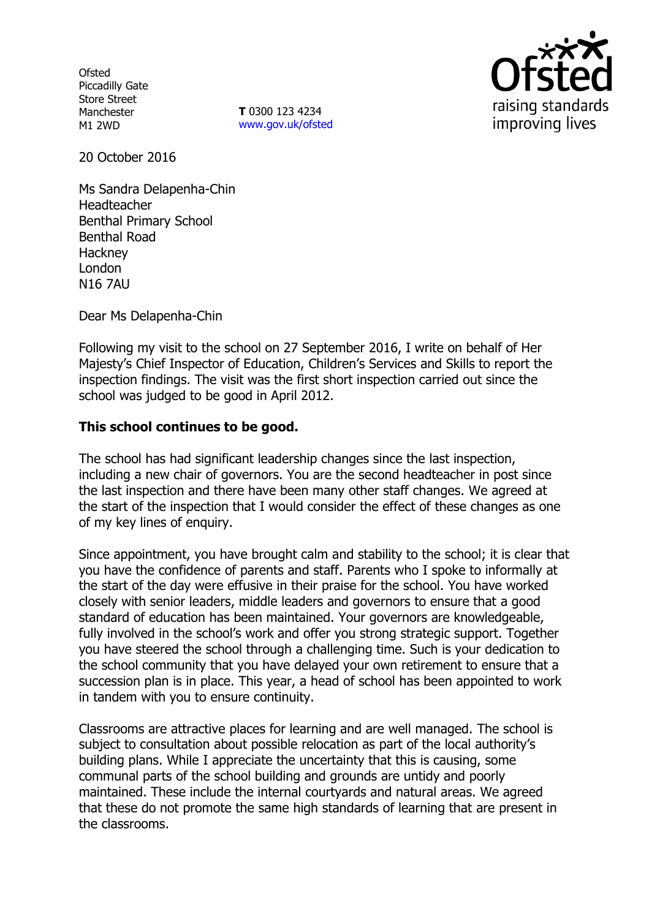**Ofsted** Piccadilly Gate Store Street Manchester M1 2WD

**T** 0300 123 4234 www.gov.uk/ofsted



20 October 2016

Ms Sandra Delapenha-Chin Headteacher Benthal Primary School Benthal Road **Hackney** London N16 7AU

Dear Ms Delapenha-Chin

Following my visit to the school on 27 September 2016, I write on behalf of Her Majesty's Chief Inspector of Education, Children's Services and Skills to report the inspection findings. The visit was the first short inspection carried out since the school was judged to be good in April 2012.

### **This school continues to be good.**

The school has had significant leadership changes since the last inspection, including a new chair of governors. You are the second headteacher in post since the last inspection and there have been many other staff changes. We agreed at the start of the inspection that I would consider the effect of these changes as one of my key lines of enquiry.

Since appointment, you have brought calm and stability to the school; it is clear that you have the confidence of parents and staff. Parents who I spoke to informally at the start of the day were effusive in their praise for the school. You have worked closely with senior leaders, middle leaders and governors to ensure that a good standard of education has been maintained. Your governors are knowledgeable, fully involved in the school's work and offer you strong strategic support. Together you have steered the school through a challenging time. Such is your dedication to the school community that you have delayed your own retirement to ensure that a succession plan is in place. This year, a head of school has been appointed to work in tandem with you to ensure continuity.

Classrooms are attractive places for learning and are well managed. The school is subject to consultation about possible relocation as part of the local authority's building plans. While I appreciate the uncertainty that this is causing, some communal parts of the school building and grounds are untidy and poorly maintained. These include the internal courtyards and natural areas. We agreed that these do not promote the same high standards of learning that are present in the classrooms.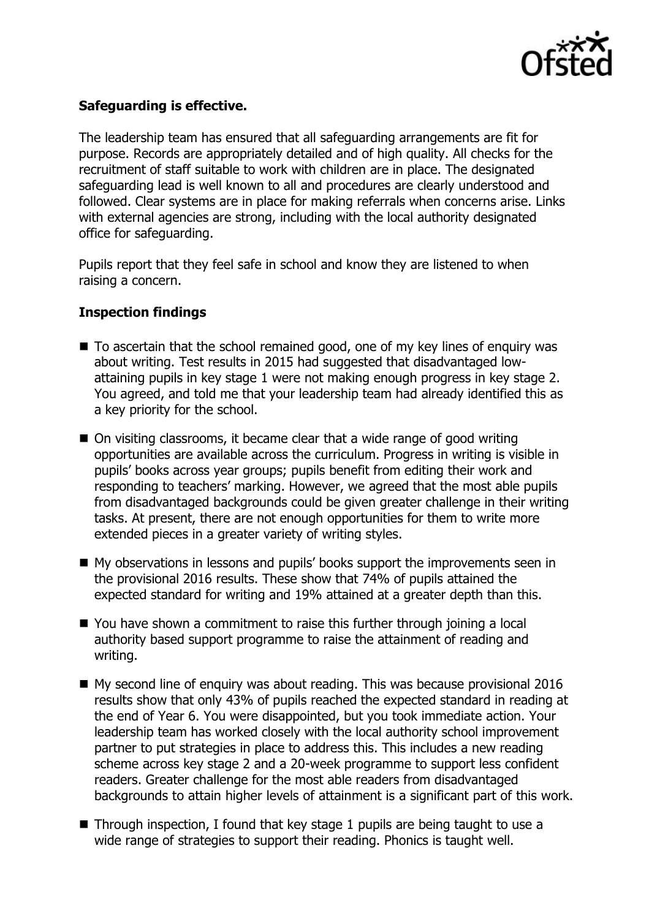

# **Safeguarding is effective.**

The leadership team has ensured that all safeguarding arrangements are fit for purpose. Records are appropriately detailed and of high quality. All checks for the recruitment of staff suitable to work with children are in place. The designated safeguarding lead is well known to all and procedures are clearly understood and followed. Clear systems are in place for making referrals when concerns arise. Links with external agencies are strong, including with the local authority designated office for safeguarding.

Pupils report that they feel safe in school and know they are listened to when raising a concern.

## **Inspection findings**

- To ascertain that the school remained good, one of my key lines of enguiry was about writing. Test results in 2015 had suggested that disadvantaged lowattaining pupils in key stage 1 were not making enough progress in key stage 2. You agreed, and told me that your leadership team had already identified this as a key priority for the school.
- On visiting classrooms, it became clear that a wide range of good writing opportunities are available across the curriculum. Progress in writing is visible in pupils' books across year groups; pupils benefit from editing their work and responding to teachers' marking. However, we agreed that the most able pupils from disadvantaged backgrounds could be given greater challenge in their writing tasks. At present, there are not enough opportunities for them to write more extended pieces in a greater variety of writing styles.
- My observations in lessons and pupils' books support the improvements seen in the provisional 2016 results. These show that 74% of pupils attained the expected standard for writing and 19% attained at a greater depth than this.
- You have shown a commitment to raise this further through joining a local authority based support programme to raise the attainment of reading and writing.
- My second line of enquiry was about reading. This was because provisional 2016 results show that only 43% of pupils reached the expected standard in reading at the end of Year 6. You were disappointed, but you took immediate action. Your leadership team has worked closely with the local authority school improvement partner to put strategies in place to address this. This includes a new reading scheme across key stage 2 and a 20-week programme to support less confident readers. Greater challenge for the most able readers from disadvantaged backgrounds to attain higher levels of attainment is a significant part of this work.
- $\blacksquare$  Through inspection, I found that key stage 1 pupils are being taught to use a wide range of strategies to support their reading. Phonics is taught well.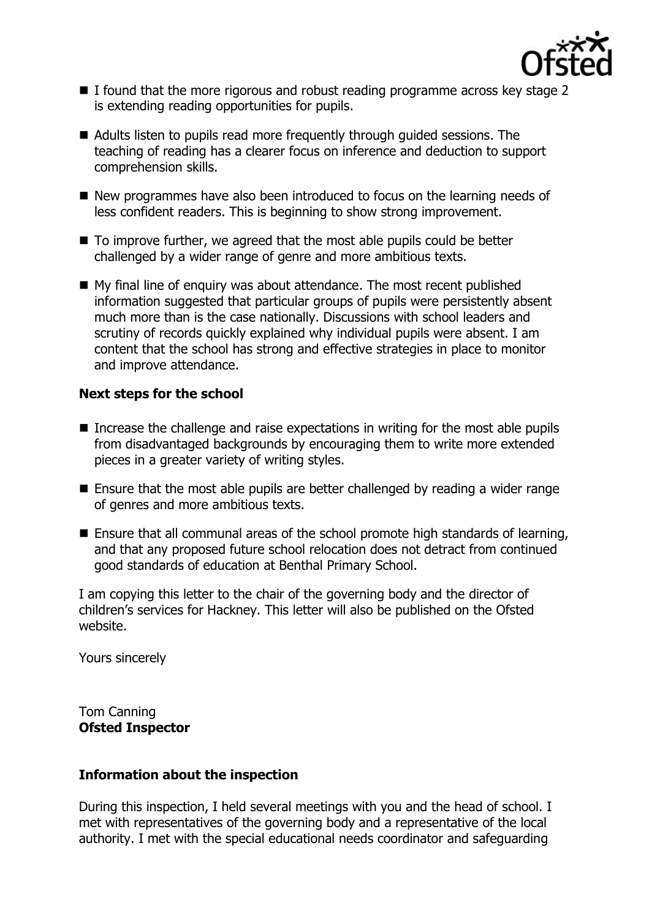

- I found that the more rigorous and robust reading programme across key stage 2 is extending reading opportunities for pupils.
- Adults listen to pupils read more frequently through quided sessions. The teaching of reading has a clearer focus on inference and deduction to support comprehension skills.
- New programmes have also been introduced to focus on the learning needs of less confident readers. This is beginning to show strong improvement.
- To improve further, we agreed that the most able pupils could be better challenged by a wider range of genre and more ambitious texts.
- My final line of enquiry was about attendance. The most recent published information suggested that particular groups of pupils were persistently absent much more than is the case nationally. Discussions with school leaders and scrutiny of records quickly explained why individual pupils were absent. I am content that the school has strong and effective strategies in place to monitor and improve attendance.

## **Next steps for the school**

- Increase the challenge and raise expectations in writing for the most able pupils from disadvantaged backgrounds by encouraging them to write more extended pieces in a greater variety of writing styles.
- Ensure that the most able pupils are better challenged by reading a wider range of genres and more ambitious texts.
- Ensure that all communal areas of the school promote high standards of learning, and that any proposed future school relocation does not detract from continued good standards of education at Benthal Primary School.

I am copying this letter to the chair of the governing body and the director of children's services for Hackney. This letter will also be published on the Ofsted website.

Yours sincerely

Tom Canning **Ofsted Inspector**

### **Information about the inspection**

During this inspection, I held several meetings with you and the head of school. I met with representatives of the governing body and a representative of the local authority. I met with the special educational needs coordinator and safeguarding